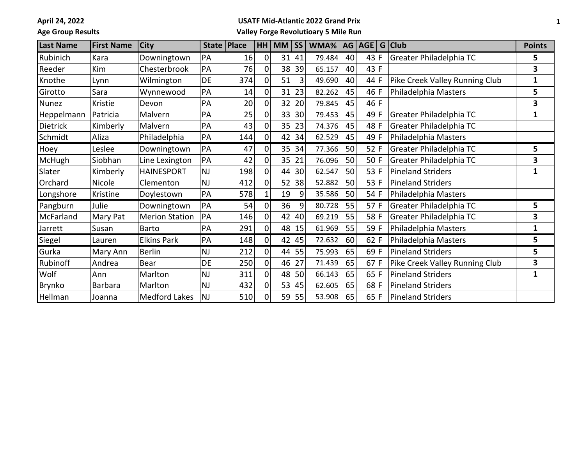**April 24, 2022**

## **Age Group Results**

## **USATF Mid-Atlantic 2022 Grand Prix**

**Valley Forge Revolutioary 5 Mile Run**

| <b>Last Name</b> | <b>First Name</b> | <b>City</b>           |           | State   Place |                | $HH$ MM $ SS $ |         | WMA%   AG   AGE   G   Club |    |        |                                | <b>Points</b> |
|------------------|-------------------|-----------------------|-----------|---------------|----------------|----------------|---------|----------------------------|----|--------|--------------------------------|---------------|
| Rubinich         | Kara              | Downingtown           | PA        | 16            | 0              | 31             | 41      | 79.484                     | 40 | 43 F   | Greater Philadelphia TC        | 5             |
| Reeder           | Kim               | Chesterbrook          | PA        | 76            | $\Omega$       | 38             | 39      | 65.157                     | 40 | 43 F   |                                | 3             |
| Knothe           | Lynn              | Wilmington            | DE        | 374           | $\mathbf 0$    | 51             | 3       | 49.690                     | 40 | $44$ F | Pike Creek Valley Running Club | 1             |
| Girotto          | Sara              | Wynnewood             | PA        | 14            | 0              | 31             | 23      | 82.262                     | 45 | 46 F   | Philadelphia Masters           | 5             |
| Nunez            | Kristie           | Devon                 | PA        | 20            | 0              | 32             | 20      | 79.845                     | 45 | 46 F   |                                | 3             |
| Heppelmann       | Patricia          | Malvern               | PA        | 25            | 0              | 33             | 30      | 79.453                     | 45 | $49$ F | Greater Philadelphia TC        | 1             |
| <b>Dietrick</b>  | Kimberly          | Malvern               | PA        | 43            | $\mathbf 0$    | 35             | 23      | 74.376                     | 45 | $48$ F | Greater Philadelphia TC        |               |
| Schmidt          | Aliza             | Philadelphia          | PA        | 144           | 0              | 42             | 34      | 62.529                     | 45 | $49$ F | Philadelphia Masters           |               |
| Hoey             | Leslee            | Downingtown           | PA        | 47            | 0              | 35             | 34      | 77.366                     | 50 | $52$ F | Greater Philadelphia TC        | 5             |
| McHugh           | Siobhan           | Line Lexington        | PA        | 42            | 0              | 35             | 21      | 76.096                     | 50 | $50$ F | Greater Philadelphia TC        | 3             |
| Slater           | Kimberly          | <b>HAINESPORT</b>     | <b>NJ</b> | 198           | 0              | 44             | 30      | 62.547                     | 50 | 53 F   | Pineland Striders              | 1             |
| Orchard          | Nicole            | Clementon             | NJ        | 412           | 0              | 52             | 38      | 52.882                     | 50 | $53$ F | Pineland Striders              |               |
| Longshore        | Kristine          | Doylestown            | PA        | 578           |                | 19             | 9       | 35.586                     | 50 | $54$ F | Philadelphia Masters           |               |
| Pangburn         | Julie             | Downingtown           | PA        | 54            | 0              | 36             | 9       | 80.728                     | 55 | $57$ F | Greater Philadelphia TC        | 5             |
| McFarland        | Mary Pat          | <b>Merion Station</b> | PA        | 146           | 0              | 42             | 40      | 69.219                     | 55 | $58$ F | Greater Philadelphia TC        | 3             |
| Jarrett          | Susan             | Barto                 | PA        | 291           | 0              | 48             | 15      | 61.969                     | 55 | 59 F   | Philadelphia Masters           | 1             |
| Siegel           | Lauren            | <b>Elkins Park</b>    | PA        | 148           | $\overline{0}$ |                | $42$ 45 | 72.632                     | 60 | $62$ F | Philadelphia Masters           | 5             |
| Gurka            | Mary Ann          | <b>Berlin</b>         | <b>NJ</b> | 212           | 0              | 44             | 55      | 75.993                     | 65 | $69$ F | Pineland Striders              | 5             |
| Rubinoff         | Andrea            | Bear                  | DE        | 250           | 0              | 46             | 27      | 71.439                     | 65 | $67$ F | Pike Creek Valley Running Club | 3             |
| Wolf             | Ann               | Marlton               | <b>NJ</b> | 311           | $\mathbf 0$    | 48             | 50      | 66.143                     | 65 | $65$ F | Pineland Striders              | 1             |
| Brynko           | Barbara           | Marlton               | <b>NJ</b> | 432           | 0              | 53             | 45      | 62.605                     | 65 | $68$ F | Pineland Striders              |               |
| Hellman          | Joanna            | Medford Lakes         | <b>NJ</b> | 510           | 0              | 59             | 55      | 53.908                     | 65 | 65 F   | <b>Pineland Striders</b>       |               |